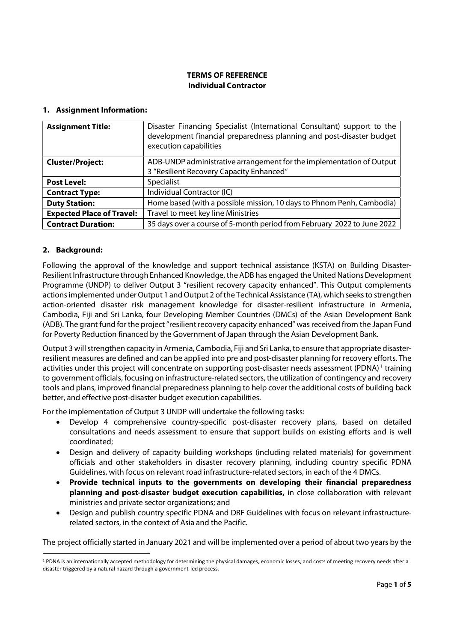### TERMS OF REFERENCE Individual Contractor

#### 1. Assignment Information:

| <b>Assignment Title:</b>         | Disaster Financing Specialist (International Consultant) support to the<br>development financial preparedness planning and post-disaster budget<br>execution capabilities |
|----------------------------------|---------------------------------------------------------------------------------------------------------------------------------------------------------------------------|
| <b>Cluster/Project:</b>          | ADB-UNDP administrative arrangement for the implementation of Output                                                                                                      |
|                                  | 3 "Resilient Recovery Capacity Enhanced"                                                                                                                                  |
| <b>Post Level:</b>               | Specialist                                                                                                                                                                |
| <b>Contract Type:</b>            | Individual Contractor (IC)                                                                                                                                                |
| <b>Duty Station:</b>             | Home based (with a possible mission, 10 days to Phnom Penh, Cambodia)                                                                                                     |
| <b>Expected Place of Travel:</b> | Travel to meet key line Ministries                                                                                                                                        |
| <b>Contract Duration:</b>        | 35 days over a course of 5-month period from February 2022 to June 2022                                                                                                   |

#### 2. Background:

Following the approval of the knowledge and support technical assistance (KSTA) on Building Disaster-Resilient Infrastructure through Enhanced Knowledge, the ADB has engaged the United Nations Development Programme (UNDP) to deliver Output 3 "resilient recovery capacity enhanced". This Output complements actions implemented under Output 1 and Output 2 of the Technical Assistance (TA), which seeks to strengthen action-oriented disaster risk management knowledge for disaster-resilient infrastructure in Armenia, Cambodia, Fiji and Sri Lanka, four Developing Member Countries (DMCs) of the Asian Development Bank (ADB). The grant fund for the project "resilient recovery capacity enhanced" was received from the Japan Fund for Poverty Reduction financed by the Government of Japan through the Asian Development Bank.

Output 3 will strengthen capacity in Armenia, Cambodia, Fiji and Sri Lanka, to ensure that appropriate disasterresilient measures are defined and can be applied into pre and post-disaster planning for recovery efforts. The activities under this project will concentrate on supporting post-disaster needs assessment (PDNA)<sup>1</sup> training to government officials, focusing on infrastructure-related sectors, the utilization of contingency and recovery tools and plans, improved financial preparedness planning to help cover the additional costs of building back better, and effective post-disaster budget execution capabilities.

For the implementation of Output 3 UNDP will undertake the following tasks:

- Develop 4 comprehensive country-specific post-disaster recovery plans, based on detailed consultations and needs assessment to ensure that support builds on existing efforts and is well coordinated;
- Design and delivery of capacity building workshops (including related materials) for government officials and other stakeholders in disaster recovery planning, including country specific PDNA Guidelines, with focus on relevant road infrastructure-related sectors, in each of the 4 DMCs.
- Provide technical inputs to the governments on developing their financial preparedness planning and post-disaster budget execution capabilities, in close collaboration with relevant ministries and private sector organizations; and
- Design and publish country specific PDNA and DRF Guidelines with focus on relevant infrastructurerelated sectors, in the context of Asia and the Pacific.

The project officially started in January 2021 and will be implemented over a period of about two years by the

<sup>&</sup>lt;sup>1</sup> PDNA is an internationally accepted methodology for determining the physical damages, economic losses, and costs of meeting recovery needs after a disaster triggered by a natural hazard through a government-led process.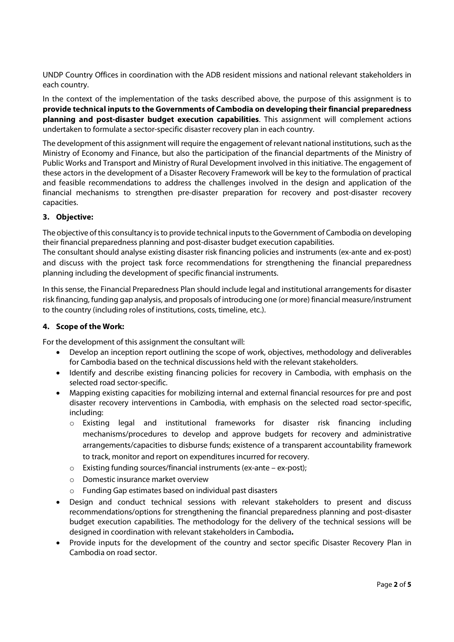UNDP Country Offices in coordination with the ADB resident missions and national relevant stakeholders in each country.

In the context of the implementation of the tasks described above, the purpose of this assignment is to provide technical inputs to the Governments of Cambodia on developing their financial preparedness planning and post-disaster budget execution capabilities. This assignment will complement actions undertaken to formulate a sector-specific disaster recovery plan in each country.

The development of this assignment will require the engagement of relevant national institutions, such as the Ministry of Economy and Finance, but also the participation of the financial departments of the Ministry of Public Works and Transport and Ministry of Rural Development involved in this initiative. The engagement of these actors in the development of a Disaster Recovery Framework will be key to the formulation of practical and feasible recommendations to address the challenges involved in the design and application of the financial mechanisms to strengthen pre-disaster preparation for recovery and post-disaster recovery capacities.

# 3. Objective:

The objective of this consultancy is to provide technical inputs to the Government of Cambodia on developing their financial preparedness planning and post-disaster budget execution capabilities.

The consultant should analyse existing disaster risk financing policies and instruments (ex-ante and ex-post) and discuss with the project task force recommendations for strengthening the financial preparedness planning including the development of specific financial instruments.

In this sense, the Financial Preparedness Plan should include legal and institutional arrangements for disaster risk financing, funding gap analysis, and proposals of introducing one (or more) financial measure/instrument to the country (including roles of institutions, costs, timeline, etc.).

# 4. Scope of the Work:

For the development of this assignment the consultant will:

- Develop an inception report outlining the scope of work, objectives, methodology and deliverables for Cambodia based on the technical discussions held with the relevant stakeholders.
- Identify and describe existing financing policies for recovery in Cambodia, with emphasis on the selected road sector-specific.
- Mapping existing capacities for mobilizing internal and external financial resources for pre and post disaster recovery interventions in Cambodia, with emphasis on the selected road sector-specific, including:
	- o Existing legal and institutional frameworks for disaster risk financing including mechanisms/procedures to develop and approve budgets for recovery and administrative arrangements/capacities to disburse funds; existence of a transparent accountability framework to track, monitor and report on expenditures incurred for recovery.
	- o Existing funding sources/financial instruments (ex-ante ex-post);
	- o Domestic insurance market overview
	- o Funding Gap estimates based on individual past disasters
- Design and conduct technical sessions with relevant stakeholders to present and discuss recommendations/options for strengthening the financial preparedness planning and post-disaster budget execution capabilities. The methodology for the delivery of the technical sessions will be designed in coordination with relevant stakeholders in Cambodia.
- Provide inputs for the development of the country and sector specific Disaster Recovery Plan in Cambodia on road sector.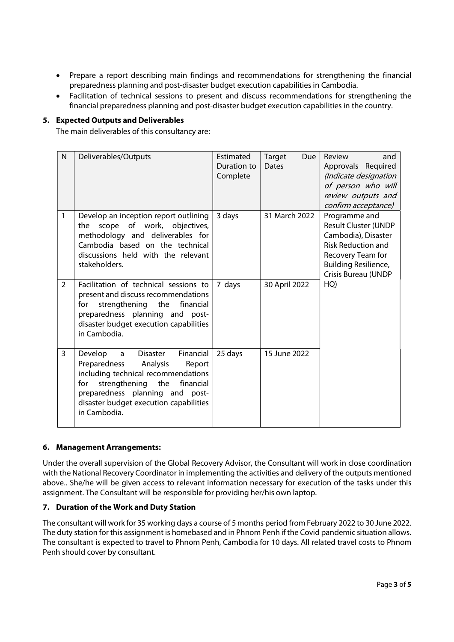- Prepare a report describing main findings and recommendations for strengthening the financial preparedness planning and post-disaster budget execution capabilities in Cambodia.
- Facilitation of technical sessions to present and discuss recommendations for strengthening the financial preparedness planning and post-disaster budget execution capabilities in the country.

### 5. Expected Outputs and Deliverables

The main deliverables of this consultancy are:

| N              | Deliverables/Outputs                                                                                                                                                                                                                                            | Estimated<br>Duration to<br>Complete | Target<br>Due<br><b>Dates</b> | Review<br>and<br>Approvals Required<br>(Indicate designation<br>of person who will<br>review outputs and<br>confirm acceptance)                                             |
|----------------|-----------------------------------------------------------------------------------------------------------------------------------------------------------------------------------------------------------------------------------------------------------------|--------------------------------------|-------------------------------|-----------------------------------------------------------------------------------------------------------------------------------------------------------------------------|
| $\mathbf{1}$   | Develop an inception report outlining<br>scope of work, objectives,<br>the<br>methodology and deliverables for<br>Cambodia based on the technical<br>discussions held with the relevant<br>stakeholders.                                                        | 3 days                               | 31 March 2022                 | Programme and<br><b>Result Cluster (UNDP</b><br>Cambodia), Disaster<br><b>Risk Reduction and</b><br>Recovery Team for<br><b>Building Resilience,</b><br>Crisis Bureau (UNDP |
| $\overline{2}$ | Facilitation of technical sessions to<br>present and discuss recommendations<br>strengthening the<br>financial<br>for<br>preparedness planning and post-<br>disaster budget execution capabilities<br>in Cambodia.                                              | 7 days                               | 30 April 2022                 | HQ)                                                                                                                                                                         |
| $\overline{3}$ | Develop<br><b>Disaster</b><br>Financial<br>a<br>Preparedness<br>Analysis<br>Report<br>including technical recommendations<br>strengthening the<br>financial<br>for<br>preparedness planning and post-<br>disaster budget execution capabilities<br>in Cambodia. | 25 days                              | 15 June 2022                  |                                                                                                                                                                             |

#### 6. Management Arrangements:

Under the overall supervision of the Global Recovery Advisor, the Consultant will work in close coordination with the National Recovery Coordinator in implementing the activities and delivery of the outputs mentioned above.. She/he will be given access to relevant information necessary for execution of the tasks under this assignment. The Consultant will be responsible for providing her/his own laptop.

# 7. Duration of the Work and Duty Station

The consultant will work for 35 working days a course of 5 months period from February 2022 to 30 June 2022. The duty station for this assignment is homebased and in Phnom Penh if the Covid pandemic situation allows. The consultant is expected to travel to Phnom Penh, Cambodia for 10 days. All related travel costs to Phnom Penh should cover by consultant.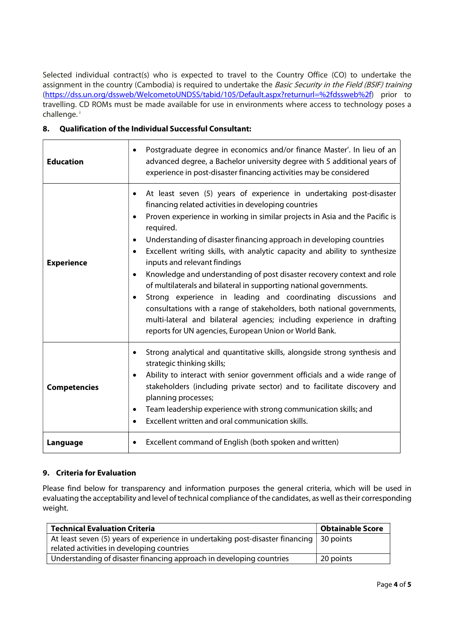Selected individual contract(s) who is expected to travel to the Country Office (CO) to undertake the assignment in the country (Cambodia) is required to undertake the Basic Security in the Field (BSIF) training (https://dss.un.org/dssweb/WelcometoUNDSS/tabid/105/Default.aspx?returnurl=%2fdssweb%2f) prior to travelling. CD ROMs must be made available for use in environments where access to technology poses a challenge. <sup>i</sup>

### 8. Qualification of the Individual Successful Consultant:

| <b>Education</b>    | Postgraduate degree in economics and/or finance Master'. In lieu of an<br>advanced degree, a Bachelor university degree with 5 additional years of<br>experience in post-disaster financing activities may be considered                                                                                                                                                                                                                                                                                                                                                                                                                                                                                                                                                                                                                                                         |
|---------------------|----------------------------------------------------------------------------------------------------------------------------------------------------------------------------------------------------------------------------------------------------------------------------------------------------------------------------------------------------------------------------------------------------------------------------------------------------------------------------------------------------------------------------------------------------------------------------------------------------------------------------------------------------------------------------------------------------------------------------------------------------------------------------------------------------------------------------------------------------------------------------------|
| <b>Experience</b>   | At least seven (5) years of experience in undertaking post-disaster<br>$\bullet$<br>financing related activities in developing countries<br>Proven experience in working in similar projects in Asia and the Pacific is<br>required.<br>Understanding of disaster financing approach in developing countries<br>٠<br>Excellent writing skills, with analytic capacity and ability to synthesize<br>٠<br>inputs and relevant findings<br>Knowledge and understanding of post disaster recovery context and role<br>$\bullet$<br>of multilaterals and bilateral in supporting national governments.<br>Strong experience in leading and coordinating discussions and<br>consultations with a range of stakeholders, both national governments,<br>multi-lateral and bilateral agencies; including experience in drafting<br>reports for UN agencies, European Union or World Bank. |
| <b>Competencies</b> | Strong analytical and quantitative skills, alongside strong synthesis and<br>$\bullet$<br>strategic thinking skills;<br>Ability to interact with senior government officials and a wide range of<br>$\bullet$<br>stakeholders (including private sector) and to facilitate discovery and<br>planning processes;<br>Team leadership experience with strong communication skills; and<br>$\bullet$<br>Excellent written and oral communication skills.                                                                                                                                                                                                                                                                                                                                                                                                                             |
| Language            | Excellent command of English (both spoken and written)<br>$\bullet$                                                                                                                                                                                                                                                                                                                                                                                                                                                                                                                                                                                                                                                                                                                                                                                                              |

# 9. Criteria for Evaluation

Please find below for transparency and information purposes the general criteria, which will be used in evaluating the acceptability and level of technical compliance of the candidates, as well as their corresponding weight.

| <b>Technical Evaluation Criteria</b>                                          | <b>Obtainable Score</b> |
|-------------------------------------------------------------------------------|-------------------------|
| At least seven (5) years of experience in undertaking post-disaster financing | $\vert$ 30 points       |
| related activities in developing countries                                    |                         |
| Understanding of disaster financing approach in developing countries          | 20 points               |